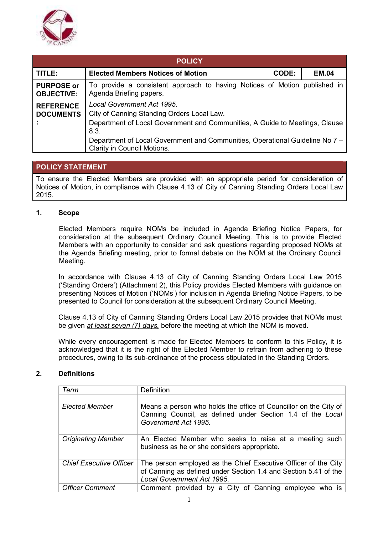

| <b>POLICY</b>                                                                                                                                                                                                                                                                                                          |                                                                                                      |              |              |
|------------------------------------------------------------------------------------------------------------------------------------------------------------------------------------------------------------------------------------------------------------------------------------------------------------------------|------------------------------------------------------------------------------------------------------|--------------|--------------|
| TITLE:                                                                                                                                                                                                                                                                                                                 | <b>Elected Members Notices of Motion</b>                                                             | <b>CODE:</b> | <b>EM.04</b> |
| <b>PURPOSE or</b><br><b>OBJECTIVE:</b>                                                                                                                                                                                                                                                                                 | To provide a consistent approach to having Notices of Motion published in<br>Agenda Briefing papers. |              |              |
| Local Government Act 1995.<br><b>REFERENCE</b><br>City of Canning Standing Orders Local Law.<br><b>DOCUMENTS</b><br>Department of Local Government and Communities, A Guide to Meetings, Clause<br>8.3.<br>Department of Local Government and Communities, Operational Guideline No 7 -<br>Clarity in Council Motions. |                                                                                                      |              |              |

# **POLICY STATEMENT**

To ensure the Elected Members are provided with an appropriate period for consideration of Notices of Motion, in compliance with Clause 4.13 of City of Canning Standing Orders Local Law 2015.

## **1. Scope**

 Elected Members require NOMs be included in Agenda Briefing Notice Papers, for consideration at the subsequent Ordinary Council Meeting. This is to provide Elected Members with an opportunity to consider and ask questions regarding proposed NOMs at the Agenda Briefing meeting, prior to formal debate on the NOM at the Ordinary Council Meeting.

In accordance with Clause 4.13 of City of Canning Standing Orders Local Law 2015 ('Standing Orders') (Attachment 2), this Policy provides Elected Members with guidance on presenting Notices of Motion ('NOMs') for inclusion in Agenda Briefing Notice Papers, to be presented to Council for consideration at the subsequent Ordinary Council Meeting.

 Clause 4.13 of City of Canning Standing Orders Local Law 2015 provides that NOMs must be given *at least seven (7) days,* before the meeting at which the NOM is moved.

While every encouragement is made for Elected Members to conform to this Policy, it is acknowledged that it is the right of the Elected Member to refrain from adhering to these procedures, owing to its sub-ordinance of the process stipulated in the Standing Orders.

## **2. Definitions**

| Term                           | Definition                                                                                                                                                      |
|--------------------------------|-----------------------------------------------------------------------------------------------------------------------------------------------------------------|
| <b>Elected Member</b>          | Means a person who holds the office of Councillor on the City of<br>Canning Council, as defined under Section 1.4 of the Local<br>Government Act 1995.          |
| <b>Originating Member</b>      | An Elected Member who seeks to raise at a meeting such<br>business as he or she considers appropriate.                                                          |
| <b>Chief Executive Officer</b> | The person employed as the Chief Executive Officer of the City<br>of Canning as defined under Section 1.4 and Section 5.41 of the<br>Local Government Act 1995. |
| <b>Officer Comment</b>         | Comment provided by a City of Canning employee who is                                                                                                           |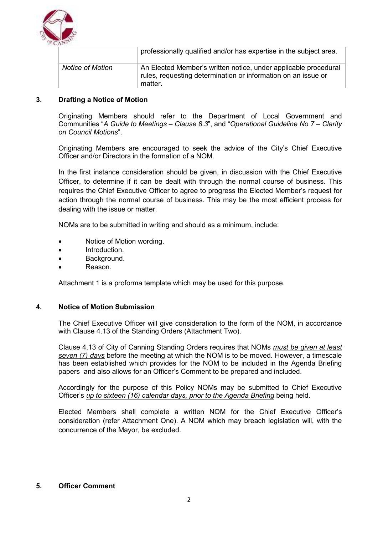

|                         | professionally qualified and/or has expertise in the subject area.                                                                          |
|-------------------------|---------------------------------------------------------------------------------------------------------------------------------------------|
| <b>Notice of Motion</b> | An Elected Member's written notice, under applicable procedural<br>rules, requesting determination or information on an issue or<br>matter. |

## **3. Drafting a Notice of Motion**

Originating Members should refer to the Department of Local Government and Communities "*A Guide to Meetings – Clause 8.3*", and "*Operational Guideline No 7 – Clarity on Council Motions*".

Originating Members are encouraged to seek the advice of the City's Chief Executive Officer and/or Directors in the formation of a NOM.

In the first instance consideration should be given, in discussion with the Chief Executive Officer, to determine if it can be dealt with through the normal course of business. This requires the Chief Executive Officer to agree to progress the Elected Member's request for action through the normal course of business. This may be the most efficient process for dealing with the issue or matter.

NOMs are to be submitted in writing and should as a minimum, include:

- Notice of Motion wording.
- Introduction.
- Background.
- Reason.

Attachment 1 is a proforma template which may be used for this purpose.

#### **4. Notice of Motion Submission**

The Chief Executive Officer will give consideration to the form of the NOM, in accordance with Clause 4.13 of the Standing Orders (Attachment Two).

Clause 4.13 of City of Canning Standing Orders requires that NOMs *must be given at least seven (7) days* before the meeting at which the NOM is to be moved. However, a timescale has been established which provides for the NOM to be included in the Agenda Briefing papers and also allows for an Officer's Comment to be prepared and included.

Accordingly for the purpose of this Policy NOMs may be submitted to Chief Executive Officer's *up to sixteen (16) calendar days, prior to the Agenda Briefing* being held.

Elected Members shall complete a written NOM for the Chief Executive Officer's consideration (refer Attachment One). A NOM which may breach legislation will, with the concurrence of the Mayor, be excluded.

## **5. Officer Comment**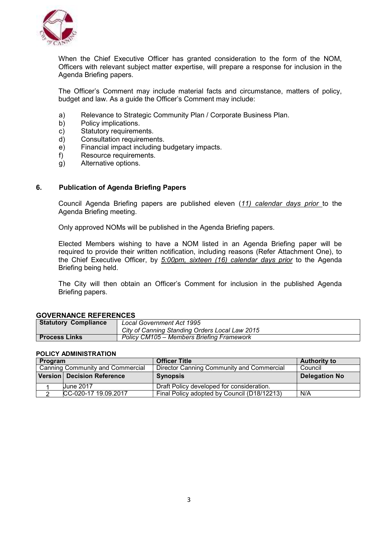

When the Chief Executive Officer has granted consideration to the form of the NOM, Officers with relevant subject matter expertise, will prepare a response for inclusion in the Agenda Briefing papers.

The Officer's Comment may include material facts and circumstance, matters of policy, budget and law. As a guide the Officer's Comment may include:

- a) Relevance to Strategic Community Plan / Corporate Business Plan.
- b) Policy implications.
- c) Statutory requirements.
- d) Consultation requirements.
- e) Financial impact including budgetary impacts.
- f) Resource requirements.
- g) Alternative options.

#### **6. Publication of Agenda Briefing Papers**

 Council Agenda Briefing papers are published eleven (*11) calendar days prior* to the Agenda Briefing meeting.

Only approved NOMs will be published in the Agenda Briefing papers.

 Elected Members wishing to have a NOM listed in an Agenda Briefing paper will be required to provide their written notification, including reasons (Refer Attachment One), to the Chief Executive Officer, by *5:00pm, sixteen (16) calendar days prior* to the Agenda Briefing being held.

 The City will then obtain an Officer's Comment for inclusion in the published Agenda Briefing papers.

#### **GOVERNANCE REFERENCES**

| <b>Statutory Compliance</b> | <b>Local Government Act 1995</b>               |
|-----------------------------|------------------------------------------------|
|                             | City of Canning Standing Orders Local Law 2015 |
| <b>Process Links</b>        | Policy CM105 – Members Briefing Framework      |

#### **POLICY ADMINISTRATION**

| Program |                                   | <b>Officer Title</b>                        | <b>Authority to</b>  |
|---------|-----------------------------------|---------------------------------------------|----------------------|
|         | Canning Community and Commercial  | Director Canning Community and Commercial   | Council              |
|         | <b>Version Decision Reference</b> | <b>Synopsis</b>                             | <b>Delegation No</b> |
|         | June 2017                         | Draft Policy developed for consideration.   |                      |
|         | CC-020-17 19.09.2017              | Final Policy adopted by Council (D18/12213) | N/A                  |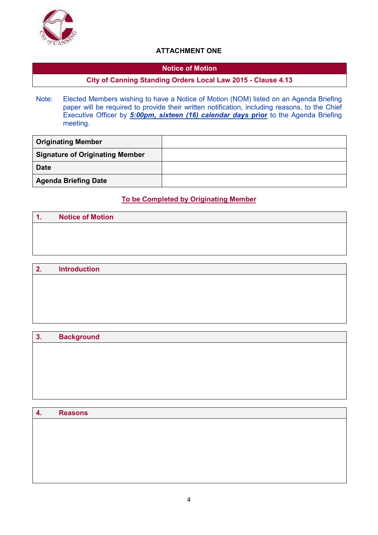

# **ATTACHMENT ONE**

## **Notice of Motion**

# **City of Canning Standing Orders Local Law 2015 - Clause 4.13**

Note: Elected Members wishing to have a Notice of Motion (NOM) listed on an Agenda Briefing paper will be required to provide their written notification, including reasons, to the Chief Executive Officer by *5:00pm, sixteen (16) calendar days* **prior** to the Agenda Briefing meeting.

| <b>Originating Member</b>              |  |
|----------------------------------------|--|
| <b>Signature of Originating Member</b> |  |
| <b>Date</b>                            |  |
| <b>Agenda Briefing Date</b>            |  |

# **To be Completed by Originating Member**

| $\blacktriangleleft$<br>. . | <b>Notice of Motion</b> |
|-----------------------------|-------------------------|
|                             |                         |
|                             |                         |
|                             |                         |

| 2. | <b>Introduction</b> |
|----|---------------------|
|    |                     |
|    |                     |
|    |                     |
|    |                     |
|    |                     |

# **3. Background**

| 4. | <b>Reasons</b> |
|----|----------------|
|    |                |
|    |                |
|    |                |
|    |                |
|    |                |